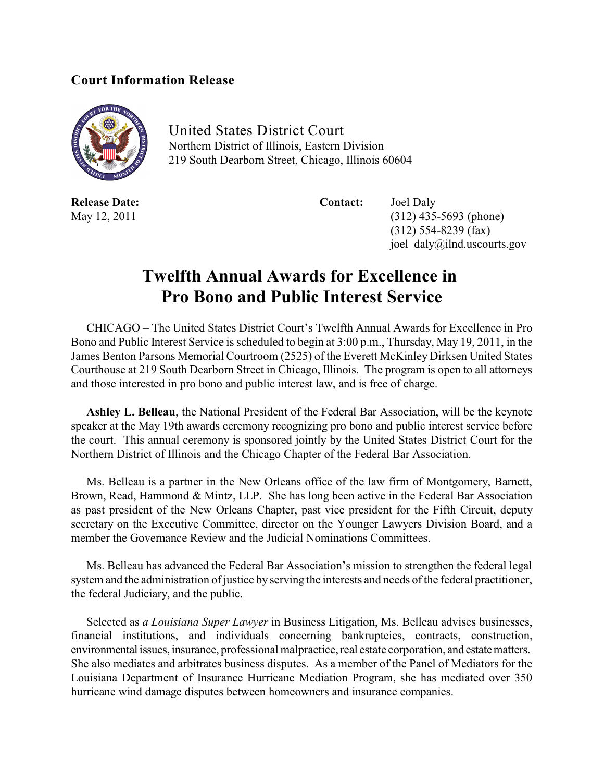## **Court Information Release**



United States District Court Northern District of Illinois, Eastern Division 219 South Dearborn Street, Chicago, Illinois 60604

**Release Date: Contact:** Joel Daly

May 12, 2011 (312) 435-5693 (phone) (312) 554-8239 (fax) joel\_daly@ilnd.uscourts.gov

## **Twelfth Annual Awards for Excellence in Pro Bono and Public Interest Service**

CHICAGO – The United States District Court's Twelfth Annual Awards for Excellence in Pro Bono and Public Interest Service is scheduled to begin at 3:00 p.m., Thursday, May 19, 2011, in the James Benton Parsons Memorial Courtroom (2525) of the Everett McKinley Dirksen United States Courthouse at 219 South Dearborn Street in Chicago, Illinois. The program is open to all attorneys and those interested in pro bono and public interest law, and is free of charge.

**Ashley L. Belleau**, the National President of the Federal Bar Association, will be the keynote speaker at the May 19th awards ceremony recognizing pro bono and public interest service before the court. This annual ceremony is sponsored jointly by the United States District Court for the Northern District of Illinois and the Chicago Chapter of the Federal Bar Association.

Ms. Belleau is a partner in the New Orleans office of the law firm of Montgomery, Barnett, Brown, Read, Hammond & Mintz, LLP. She has long been active in the Federal Bar Association as past president of the New Orleans Chapter, past vice president for the Fifth Circuit, deputy secretary on the Executive Committee, director on the Younger Lawyers Division Board, and a member the Governance Review and the Judicial Nominations Committees.

Ms. Belleau has advanced the Federal Bar Association's mission to strengthen the federal legal system and the administration of justice by serving the interests and needs of the federal practitioner, the federal Judiciary, and the public.

Selected as *a Louisiana Super Lawyer* in Business Litigation, Ms. Belleau advises businesses, financial institutions, and individuals concerning bankruptcies, contracts, construction, environmental issues, insurance, professional malpractice, real estate corporation, and estate matters. She also mediates and arbitrates business disputes. As a member of the Panel of Mediators for the Louisiana Department of Insurance Hurricane Mediation Program, she has mediated over 350 hurricane wind damage disputes between homeowners and insurance companies.